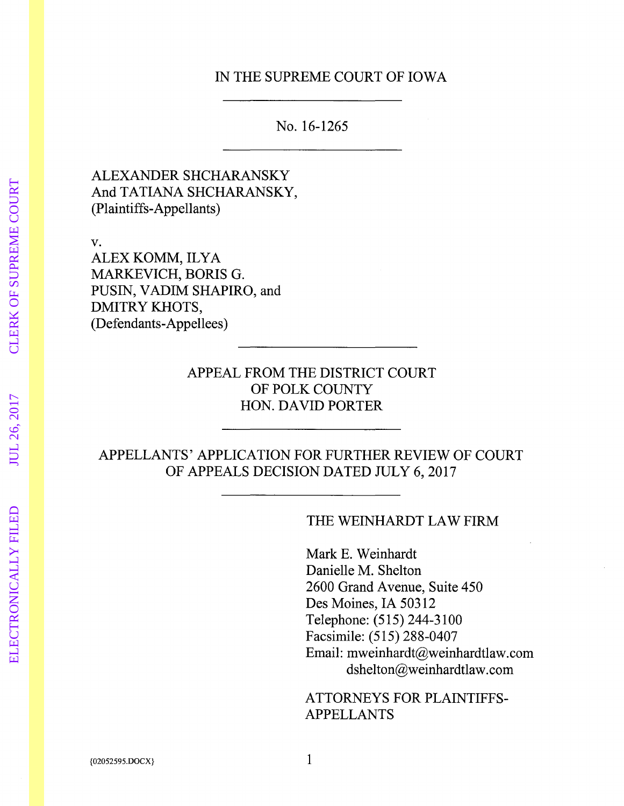### IN THE SUPREME COURT OF IOWA

No. 16-1265

ALEXANDER SHCHARANSKY And TATIANA SHCHARANSKY, (Plaintiffs-Appellants)

v.

ALEX KOMM, ILYA MARKEVICH, BORIS G. PUSIN, VADIM SHAPIRO, and DMITRY KHOTS, (Defendants-Appellees)

> APPEAL FROM THE DISTRICT COURT OF POLK COUNTY HON. DAVID PORTER

APPELLANTS' APPLICATION FOR FURTHER REVIEW OF COURT OF APPEALS DECISION DATED JULY 6, 2017

THE WEINHARDT LAW FIRM

Mark E. Weinhardt Danielle M. Shelton 2600 Grand Avenue, Suite 450 Des Moines, IA 50312 Telephone: (515) 244-3100 Facsimile: (515) 288-0407 Email: mweinhardt@weinhardtlaw.com dshelton@weinhardtlaw.com

ATTORNEYS FOR PLAINTIFFS-APPELLANTS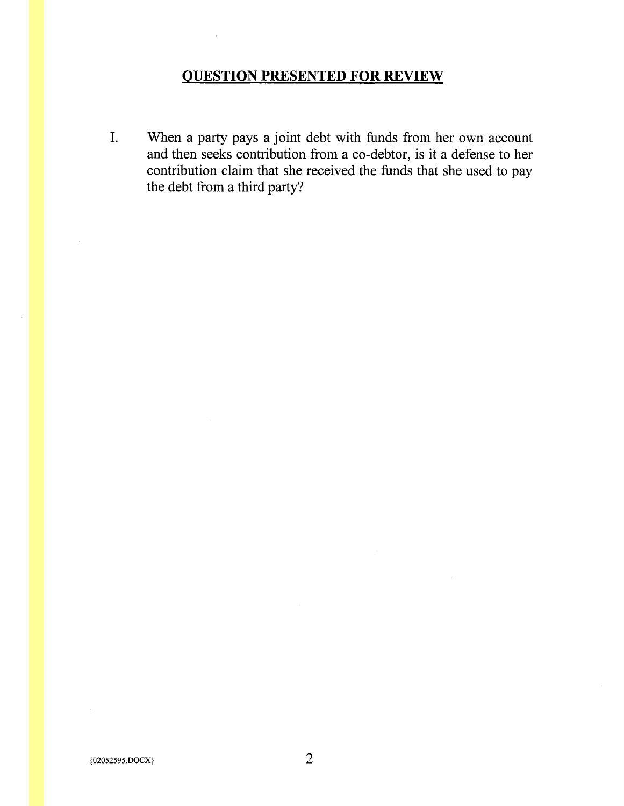# **QUESTION PRESENTED FOR REVIEW**

I. When a party pays a joint debt with funds from her own account and then seeks contribution from a co-debtor, is it a defense to her contribution claim that she received the funds that she used to pay the debt from a third party?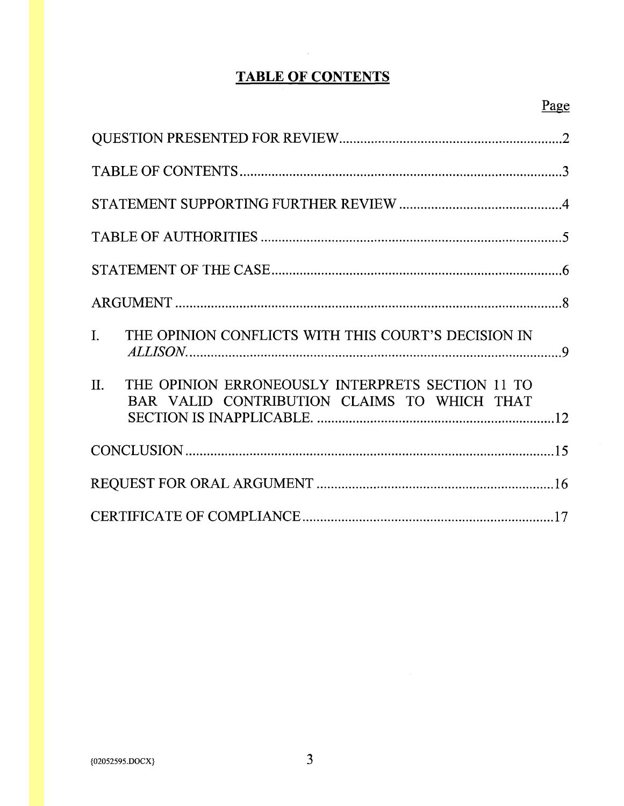# **TABLE OF CONTENTS**

 $\mathcal{A}^{\prime}$ 

| $\mathbf{I}$ .<br>THE OPINION CONFLICTS WITH THIS COURT'S DECISION IN                                  |  |
|--------------------------------------------------------------------------------------------------------|--|
| II.<br>THE OPINION ERRONEOUSLY INTERPRETS SECTION 11 TO<br>BAR VALID CONTRIBUTION CLAIMS TO WHICH THAT |  |
|                                                                                                        |  |
|                                                                                                        |  |
|                                                                                                        |  |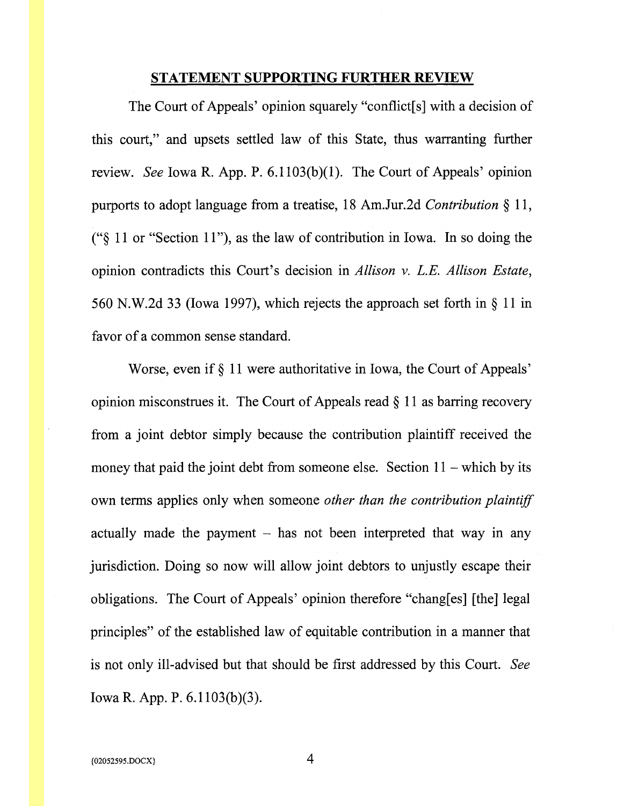#### **STATEMENT SUPPORTING FURTHER REVIEW**

The Court of Appeals' opinion squarely "conflict[s] with a decision of this court," and upsets settled law of this State, thus warranting further review. *See* Iowa R. App. P. 6.1103(b)(1). The Court of Appeals' opinion purports to adopt language from a treatise, 18 Am.Jur.2d *Contribution* § 11, (" $§$  11 or "Section 11"), as the law of contribution in Iowa. In so doing the opinion contradicts this Court's decision in *Allison v. L.E. Allison Estate,*  560 N.W.2d 33 (Iowa 1997), which rejects the approach set forth in§ 11 in favor of a common sense standard.

Worse, even if § 11 were authoritative in Iowa, the Court of Appeals' opinion misconstrues it. The Court of Appeals read § 11 as barring recovery from a joint debtor simply because the contribution plaintiff received the money that paid the joint debt from someone else. Section  $11 -$  which by its own terms applies only when someone *other than the contribution plaintiff*  actually made the payment  $-$  has not been interpreted that way in any jurisdiction. Doing so now will allow joint debtors to unjustly escape their obligations. The Court of Appeals' opinion therefore "chang[es] [the] legal principles" of the established law of equitable contribution in a manner that is not only ill-advised but that should be first addressed by this Court. *See*  Iowa R. App. P. 6.1103(b)(3).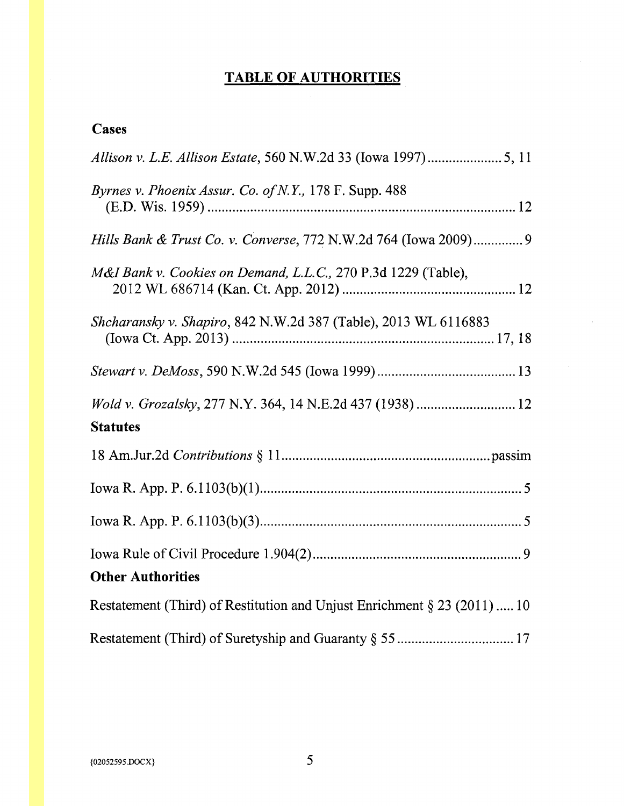# **TABLE OF AUTHORITIES**

# **Cases**

| Allison v. L.E. Allison Estate, 560 N.W.2d 33 (Iowa 1997)5, 11              |
|-----------------------------------------------------------------------------|
| Byrnes v. Phoenix Assur. Co. of N.Y., 178 F. Supp. 488                      |
| Hills Bank & Trust Co. v. Converse, 772 N.W.2d 764 (Iowa 2009) 9            |
| M&I Bank v. Cookies on Demand, L.L.C., 270 P.3d 1229 (Table),               |
| Shcharansky v. Shapiro, 842 N.W.2d 387 (Table), 2013 WL 6116883             |
|                                                                             |
| <b>Statutes</b>                                                             |
|                                                                             |
|                                                                             |
|                                                                             |
| <b>Other Authorities</b>                                                    |
| Restatement (Third) of Restitution and Unjust Enrichment $\S 23$ (2011)  10 |
|                                                                             |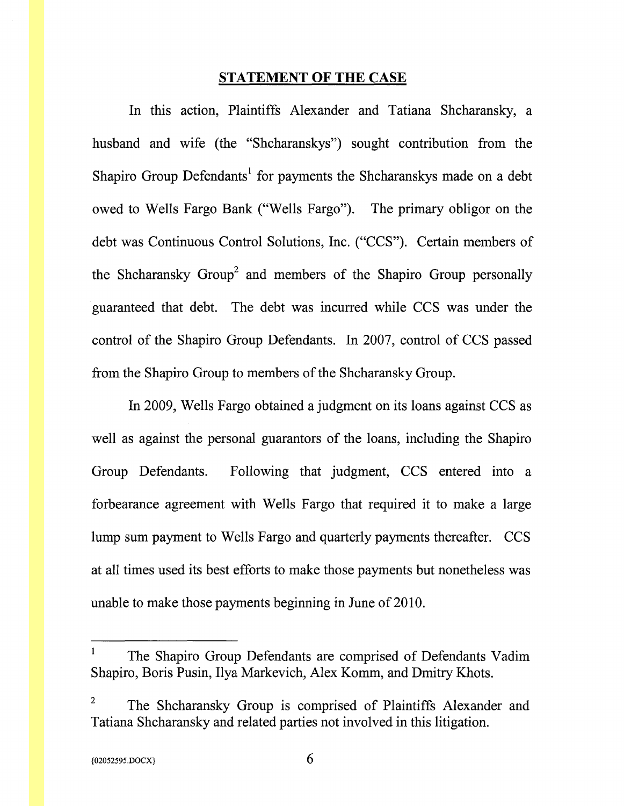#### **STATEMENT OF THE CASE**

In this action, Plaintiffs Alexander and Tatiana Shcharansky, a husband and wife (the "Shcharanskys") sought contribution from the Shapiro Group Defendants<sup>1</sup> for payments the Shcharanskys made on a debt owed to Wells Fargo Bank ("Wells Fargo"). The primary obligor on the debt was Continuous Control Solutions, Inc. ("CCS"). Certain members of the Shcharansky Group<sup>2</sup> and members of the Shapiro Group personally guaranteed that debt. The debt was incurred while CCS was under the control of the Shapiro Group Defendants. In 2007, control of CCS passed from the Shapiro Group to members of the Shcharansky Group.

In 2009, Wells Fargo obtained a judgment on its loans against CCS as well as against the personal guarantors of the loans, including the Shapiro Group Defendants. Following that judgment, CCS entered into a forbearance agreement with Wells Fargo that required it to make a large lump sum payment to Wells Fargo and quarterly payments thereafter. CCS at all times used its best efforts to make those payments but nonetheless was unable to make those payments beginning in June of 2010.

 $\mathbf{1}$ The Shapiro Group Defendants are comprised of Defendants Vadim Shapiro, Boris Pusin, Ilya Markevich, Alex Komm, and Dmitry Khots.

<sup>2</sup> The Shcharansky Group is comprised of Plaintiffs Alexander and Tatiana Shcharansky and related parties not involved in this litigation.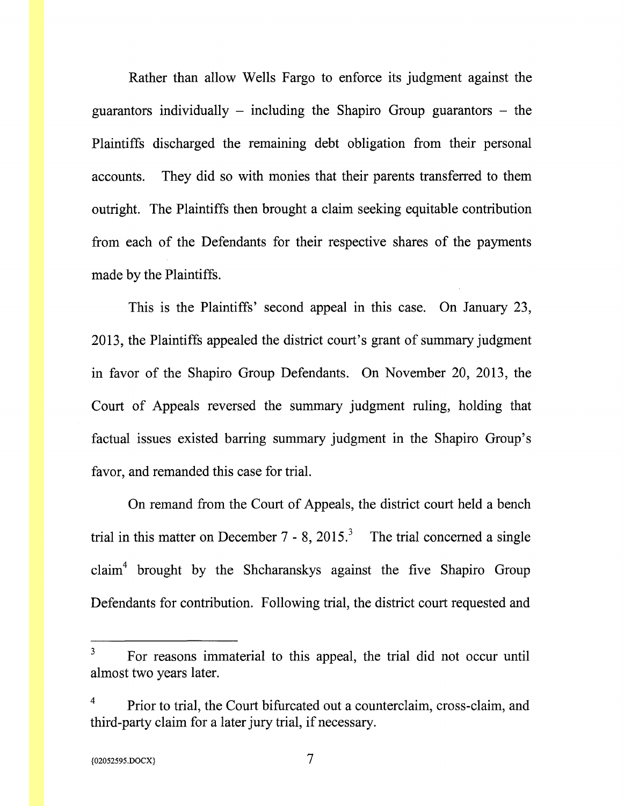Rather than allow Wells Fargo to enforce its judgment against the guarantors individually  $-$  including the Shapiro Group guarantors  $-$  the Plaintiffs discharged the remaining debt obligation from their personal accounts. They did so with monies that their parents transferred to them outright. The Plaintiffs then brought a claim seeking equitable contribution from each of the Defendants for their respective shares of the payments made by the Plaintiffs.

This is the Plaintiffs' second appeal in this case. On January 23, 2013, the Plaintiffs appealed the district court's grant of summary judgment in favor of the Shapiro Group Defendants. On November 20, 2013, the Court of Appeals reversed the summary judgment ruling, holding that factual issues existed barring summary judgment in the Shapiro Group's favor, and remanded this case for trial.

On remand from the Court of Appeals, the district court held a bench trial in this matter on December 7 - 8, 2015.<sup>3</sup> The trial concerned a single claim<sup>4</sup> brought by the Shcharanskys against the five Shapiro Group Defendants for contribution. Following trial, the district court requested and

<sup>&</sup>lt;sup>3</sup> For reasons immaterial to this appeal, the trial did not occur until almost two years later.

<sup>4</sup> Prior to trial, the Court bifurcated out a counterclaim, cross-claim, and third-party claim for a later jury trial, if necessary.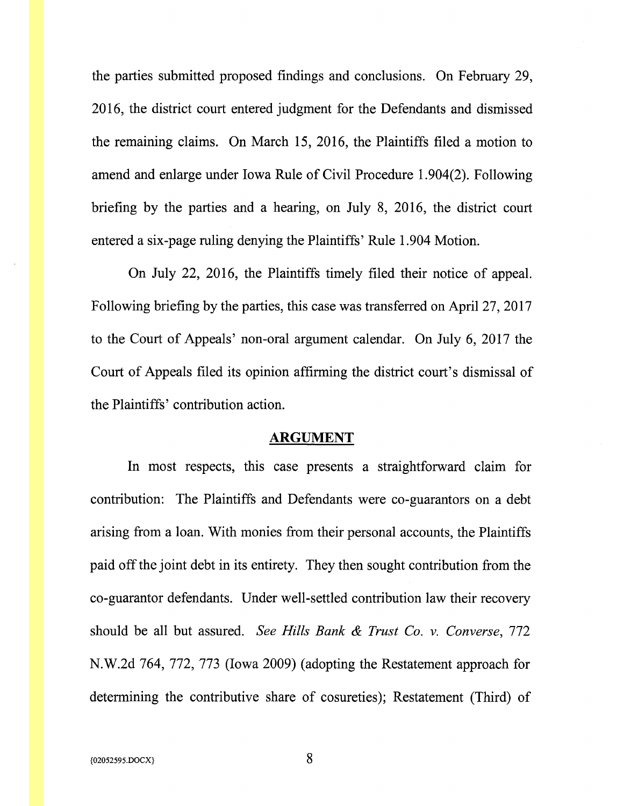the parties submitted proposed findings and conclusions. On February 29, 2016, the district court entered judgment for the Defendants and dismissed the remaining claims. On March 15, 2016, the Plaintiffs filed a motion to amend and enlarge under Iowa Rule of Civil Procedure 1.904(2). Following briefing by the parties and a hearing, on July 8, 2016, the district court entered a six-page ruling denying the Plaintiffs' Rule 1.904 Motion.

On July 22, 2016, the Plaintiffs timely filed their notice of appeal. Following briefing by the parties, this case was transferred on April27, 2017 to the Court of Appeals' non-oral argument calendar. On July 6, 2017 the Court of Appeals filed its opinion affirming the district court's dismissal of the Plaintiffs' contribution action.

#### **ARGUMENT**

In most respects, this case presents a straightforward claim for contribution: The Plaintiffs and Defendants were co-guarantors on a debt arising from a loan. With monies from their personal accounts, the Plaintiffs paid off the joint debt in its entirety. They then sought contribution from the co-guarantor defendants. Under well-settled contribution law their recovery should be all but assured. *See Hills Bank & Trust Co. v. Converse,* 772 N.W.2d 764, 772, 773 (Iowa 2009) (adopting the Restatement approach for determining the contributive share of cosureties); Restatement (Third) of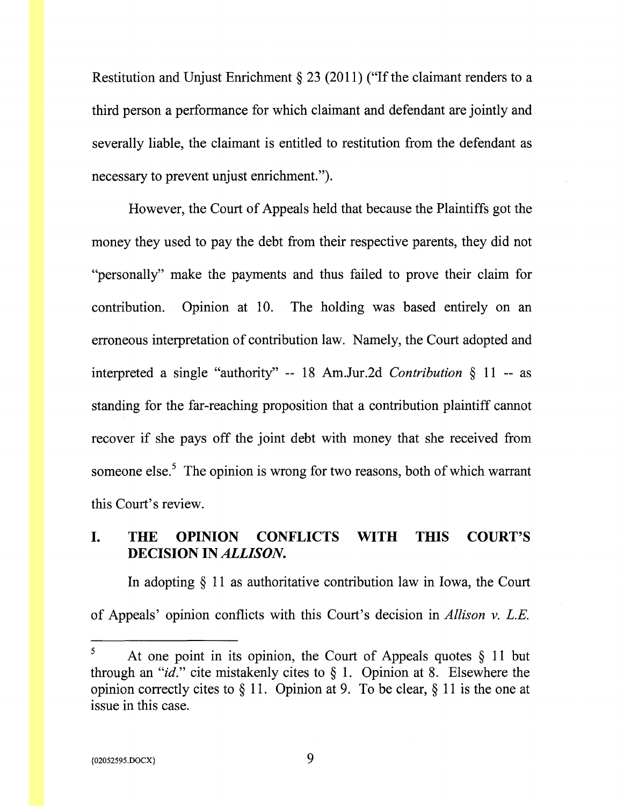Restitution and Unjust Enrichment  $\S 23 (2011)$  ("If the claimant renders to a third person a performance for which claimant and defendant are jointly and severally liable, the claimant is entitled to restitution from the defendant as necessary to prevent unjust enrichment.").

However, the Court of Appeals held that because the Plaintiffs got the money they used to pay the debt from their respective parents, they did not "personally" make the payments and thus failed to prove their claim for contribution. Opinion at 10. The holding was based entirely on an erroneous interpretation of contribution law. Namely, the Court adopted and interpreted a single "authority" -- 18 Am.Jur.2d *Contribution* § 11 -- as standing for the far-reaching proposition that a contribution plaintiff cannot recover if she pays off the joint debt with money that she received from someone else.<sup>5</sup> The opinion is wrong for two reasons, both of which warrant this Court's review.

# I. THE OPINION CONFLICTS WITH THIS COURT'S DECISION IN *ALLISON.*

In adopting § 11 as authoritative contribution law in Iowa, the Court of Appeals' opinion conflicts with this Court's decision in *Allison v. L.E.* 

<sup>&</sup>lt;sup>5</sup> At one point in its opinion, the Court of Appeals quotes  $\S$  11 but through an *"id."* cite mistakenly cites to § 1. Opinion at 8. Elsewhere the opinion correctly cites to  $\S 11$ . Opinion at 9. To be clear,  $\S 11$  is the one at issue in this case.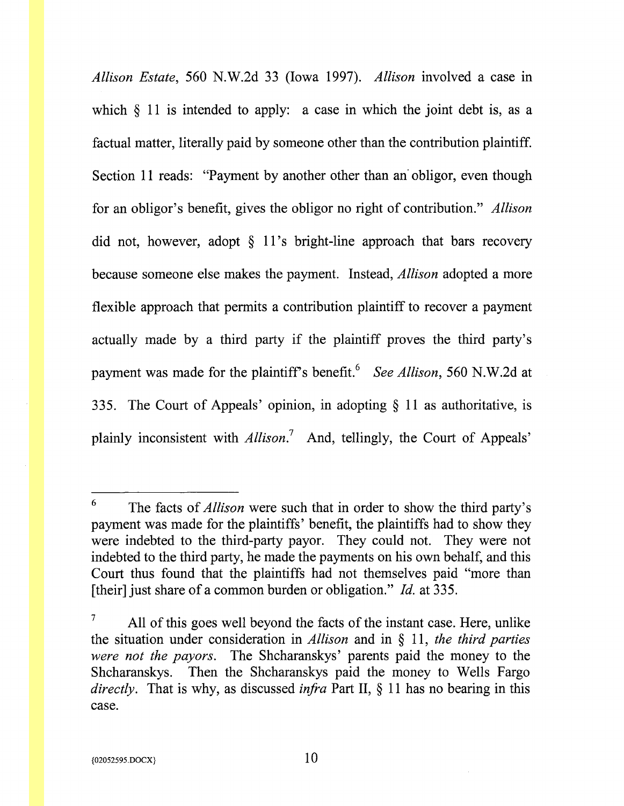*Allison Estate,* 560 N.W.2d 33 (Iowa 1997). *Allison* involved a case in which § 11 is intended to apply: a case in which the joint debt is, as a factual matter, literally paid by someone other than the contribution plaintiff. Section 11 reads: "Payment by another other than an obligor, even though for an obligor's benefit, gives the obligor no right of contribution." *Allison*  did not, however, adopt  $\S$  11's bright-line approach that bars recovery because someone else makes the payment. Instead, *Allison* adopted a more flexible approach that permits a contribution plaintiff to recover a payment actually made by a third party if the plaintiff proves the third party's payment was made for the plaintiff's benefit.<sup>6</sup> See Allison, 560 N.W.2d at 335. The Court of Appeals' opinion, in adopting § 11 as authoritative, is plainly inconsistent with *Allison*<sup>7</sup> And, tellingly, the Court of Appeals'

<sup>6</sup> The facts of *Allison* were such that in order to show the third party's payment was made for the plaintiffs' benefit, the plaintiffs had to show they were indebted to the third-party payor. They could not. They were not indebted to the third party, he made the payments on his own behalf, and this Court thus found that the plaintiffs had not themselves paid "more than [their] just share of a common burden or obligation." *!d.* at 335.

All of this goes well beyond the facts of the instant case. Here, unlike the situation under consideration in *Allison* and in § 11, *the third parties were not the payors.* The Shcharanskys' parents paid the money to the Shcharanskys. Then the Shcharanskys paid the money to Wells Fargo *directly.* That is why, as discussed *infra* Part II, § 11 has no bearing in this case.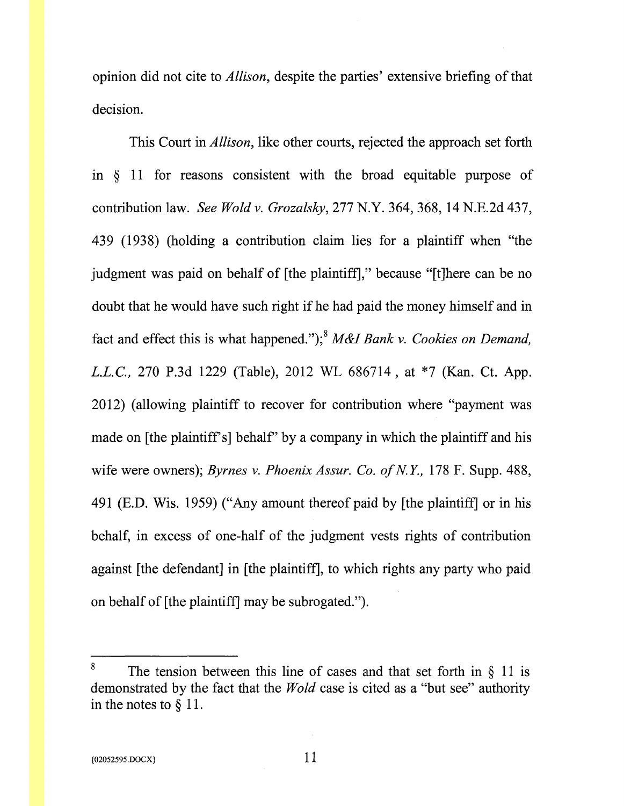opinion did not cite to *Allison,* despite the parties' extensive briefing of that decision.

This Court in *Allison,* like other courts, rejected the approach set forth m § 11 for reasons consistent with the broad equitable purpose of contribution law. *See Wold v. Grozalsky,* 277 N.Y. 364, 368, 14 N.E.2d 437, 439 (1938) (holding a contribution claim lies for a plaintiff when "the judgment was paid on behalf of [the plaintiff]," because "[t]here can be no doubt that he would have such right if he had paid the money himself and in fact and effect this is what happened.");<sup>8</sup> M&I Bank v. Cookies on Demand, *L.L.C.,* 270 P.3d 1229 (Table), 2012 WL 686714, at \*7 (Kan. Ct. App. 2012) (allowing plaintiff to recover for contribution where "payment was made on [the plaintiff's] behalf" by a company in which the plaintiff and his wife were owners); *Byrnes v. Phoenix Assur. Co. of NY.,* 178 F. Supp. 488, 491 (E.D. Wis. 1959) ("Any amount thereof paid by [the plaintiff] or in his behalf, in excess of one-half of the judgment vests rights of contribution against [the defendant] in [the plaintiff], to which rights any party who paid on behalf of [the plaintiff] may be subrogated.").

The tension between this line of cases and that set forth in  $\S$  11 is demonstrated by the fact that the *Wold* case is cited as a "but see" authority in the notes to § 11.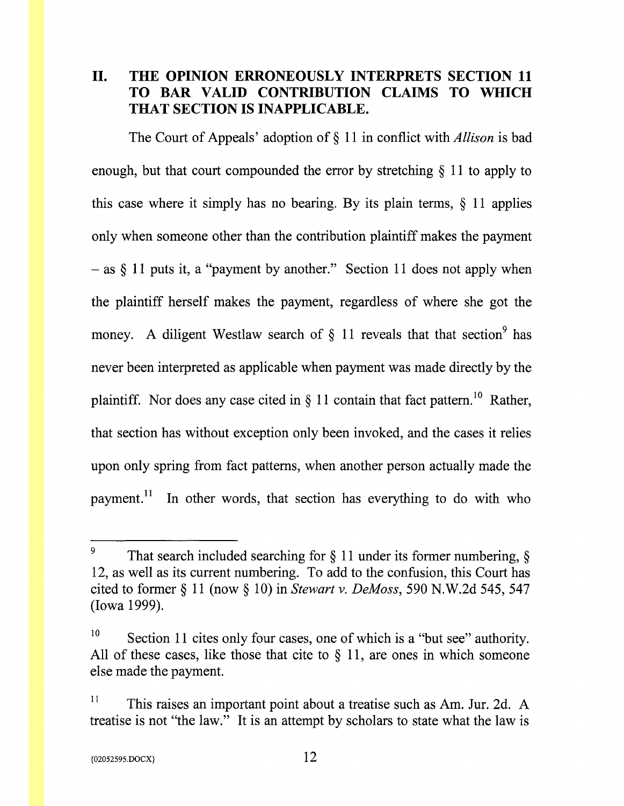# **II. THE OPINION ERRONEOUSLY INTERPRETS SECTION 11 TO BAR VALID CONTRIBUTION CLAIMS TO WHICH THAT SECTION IS INAPPLICABLE.**

The Court of Appeals' adoption of § 11 in conflict with *Allison* is bad enough, but that court compounded the error by stretching § 11 to apply to this case where it simply has no bearing. By its plain terms,  $\S$  11 applies only when someone other than the contribution plaintiff makes the payment  $-$ as § 11 puts it, a "payment by another." Section 11 does not apply when the plaintiff herself makes the payment, regardless of where she got the money. A diligent Westlaw search of  $\S$  11 reveals that that section<sup>9</sup> has never been interpreted as applicable when payment was made directly by the plaintiff. Nor does any case cited in  $\S$  11 contain that fact pattern.<sup>10</sup> Rather, that section has without exception only been invoked, and the cases it relies upon only spring from fact patterns, when another person actually made the payment.<sup>11</sup> In other words, that section has everything to do with who

That search included searching for  $\S$  11 under its former numbering,  $\S$ 12, as well as its current numbering. To add to the confusion, this Court has cited to former§ 11 (now§ 10) in *Stewart v. DeMoss,* 590 N.W.2d 545, 547 (Iowa 1999).

<sup>&</sup>lt;sup>10</sup> Section 11 cites only four cases, one of which is a "but see" authority. All of these cases, like those that cite to  $\S$  11, are ones in which someone else made the payment.

 $11$  This raises an important point about a treatise such as Am. Jur. 2d. A treatise is not "the law." It is an attempt by scholars to state what the law is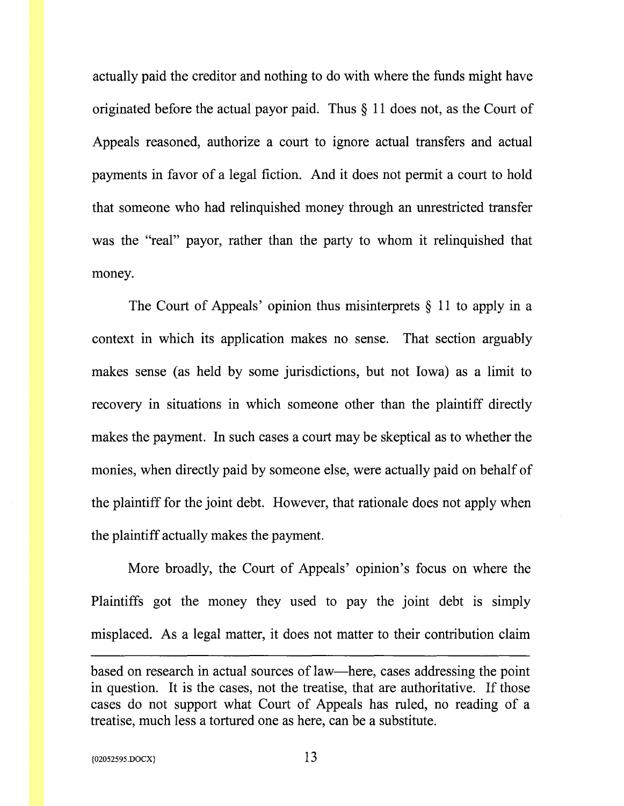actually paid the creditor and nothing to do with where the funds might have originated before the actual payor paid. Thus § 11 does not, as the Court of Appeals reasoned, authorize a court to ignore actual transfers and actual payments in favor of a legal fiction. And it does not permit a court to hold that someone who had relinquished money through an unrestricted transfer was the "real" payor, rather than the party to whom it relinquished that money.

The Court of Appeals' opinion thus misinterprets § 11 to apply in a context in which its application makes no sense. That section arguably makes sense (as held by some jurisdictions, but not Iowa) as a limit to recovery in situations in which someone other than the plaintiff directly makes the payment. In such cases a court may be skeptical as to whether the monies, when directly paid by someone else, were actually paid on behalf of the plaintiff for the joint debt. However, that rationale does not apply when the plaintiff actually makes the payment.

More broadly, the Court of Appeals' opinion's focus on where the Plaintiffs got the money they used to pay the joint debt is simply misplaced. As a legal matter, it does not matter to their contribution claim

based on research in actual sources of law-here, cases addressing the point in question. It is the cases, not the treatise, that are authoritative. If those cases do not support what Court of Appeals has ruled, no reading of a treatise, much less a tortured one as here, can be a substitute.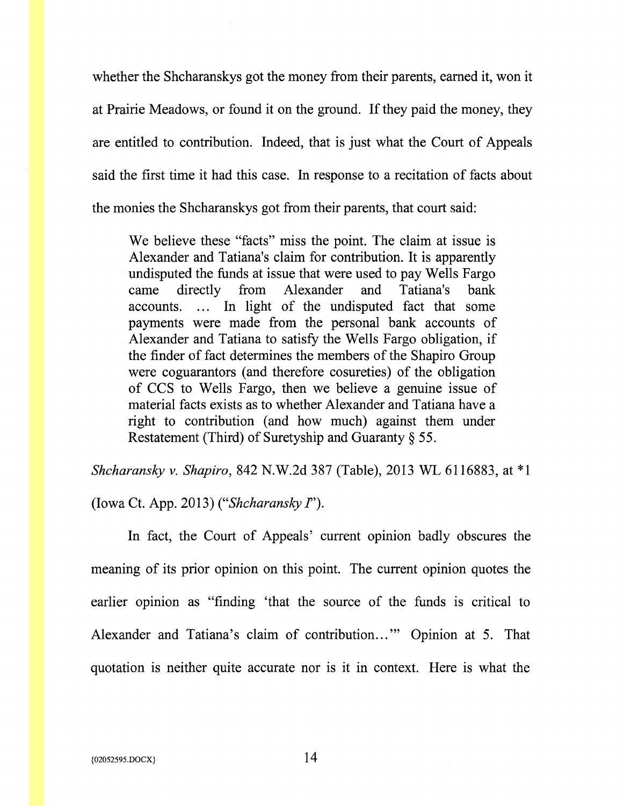whether the Shcharanskys got the money from their parents, earned it, won it at Prairie Meadows, or found it on the ground. If they paid the money, they are entitled to contribution. Indeed, that is just what the Court of Appeals said the first time it had this case. In response to a recitation of facts about the monies the Shcharanskys got from their parents, that court said:

We believe these "facts" miss the point. The claim at issue is Alexander and Tatiana's claim for contribution. It is apparently undisputed the funds at issue that were used to pay Wells Fargo came directly from Alexander and Tatiana's bank accounts. ... In light of the undisputed fact that some payments were made from the personal bank accounts of Alexander and Tatiana to satisfy the Wells Fargo obligation, if the finder of fact determines the members of the Shapiro Group were coguarantors (and therefore cosureties) of the obligation of CCS to Wells Fargo, then we believe a genuine issue of material facts exists as to whether Alexander and Tatiana have a right to contribution (and how much) against them under Restatement (Third) of Suretyship and Guaranty§ 55.

*Shcharansky v. Shapiro,* 842 N.W.2d 387 (Table), 2013 WL 6116883, at \*1

(Iowa Ct. App. 2013) *("Shcharansky* F').

In fact, the Court of Appeals' current opinion badly obscures the meaning of its prior opinion on this point. The current opinion quotes the earlier opinion as "finding 'that the source of the funds is critical to Alexander and Tatiana's claim of contribution..." Opinion at 5. That quotation is neither quite accurate nor is it in context. Here is what the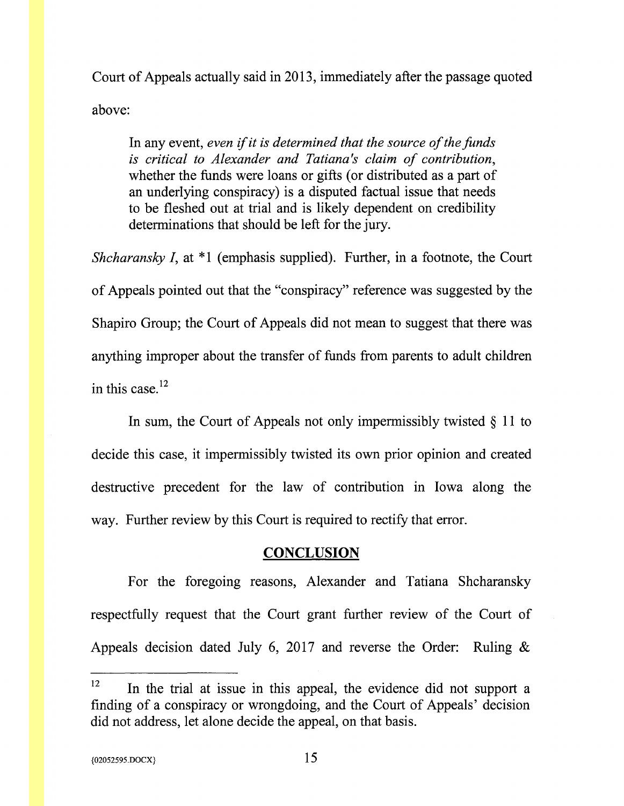Court of Appeals actually said in 2013, immediately after the passage quoted above:

In any event, *even if it is determined that the source of the funds is critical to Alexander and Tatiana 's claim of contribution,*  whether the funds were loans or gifts (or distributed as a part of an underlying conspiracy) is a disputed factual issue that needs to be fleshed out at trial and is likely dependent on credibility determinations that should be left for the jury.

*Shcharansky I, at* \*1 (emphasis supplied). Further, in a footnote, the Court of Appeals pointed out that the "conspiracy" reference was suggested by the Shapiro Group; the Court of Appeals did not mean to suggest that there was anything improper about the transfer of funds from parents to adult children in this case. $^{12}$ 

In sum, the Court of Appeals not only impermissibly twisted  $\S$  11 to decide this case, it impermissibly twisted its own prior opinion and created destructive precedent for the law of contribution in Iowa along the way. Further review by this Court is required to rectify that error.

# **CONCLUSION**

For the foregoing reasons, Alexander and Tatiana Shcharansky respectfully request that the Court grant further review of the Court of Appeals decision dated July 6, 2017 and reverse the Order: Ruling &

 $12$  In the trial at issue in this appeal, the evidence did not support a finding of a conspiracy or wrongdoing, and the Court of Appeals' decision did not address, let alone decide the appeal, on that basis.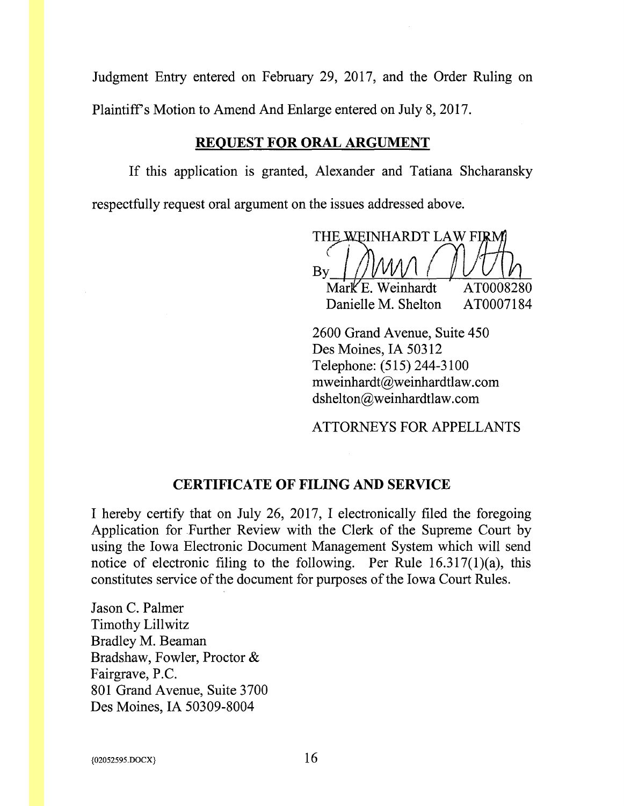Judgment Entry entered on February 29, 2017, and the Order Ruling on

Plaintiff's Motion to Amend And Enlarge entered on July 8, 2017.

# **REQUEST FOR ORAL ARGUMENT**

If this application is granted, Alexander and Tatiana Shcharansky

respectfully request oral argument on the issues addressed above.

THE WEINHARDT LAW FIRM  $Bv$  $Mark E$ . Weinhardt AT0008280

Danielle M. Shelton AT0007184

2600 Grand Avenue, Suite 450 Des Moines, lA 50312 Telephone: (515) 244-3100 mweinhardt@weinhardtlaw.com dshelton@weinhardtlaw.com

## ATTORNEYS FOR APPELLANTS

## **CERTIFICATE OF FILING AND SERVICE**

I hereby certify that on July 26, 2017, I electronically filed the foregoing Application for Further Review with the Clerk of the Supreme Court by using the Iowa Electronic Document Management System which will send notice of electronic filing to the following. Per Rule  $16.317(1)(a)$ , this constitutes service of the document for purposes of the Iowa Court Rules.

Jason C. Palmer Timothy Lillwitz Bradley M. Beaman Bradshaw, Fowler, Proctor & Fairgrave, P.C. 801 Grand Avenue, Suite 3700 Des Moines, lA 50309-8004